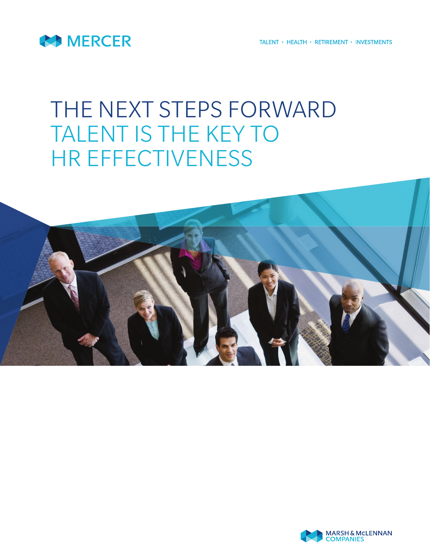**MERCER** 

TALENT • HEALTH • RETIREMENT • INVESTMENTS

## THE NEXT STEPS FORWARD TALENT IS THE KEY TO HR EFFECTIVENESS



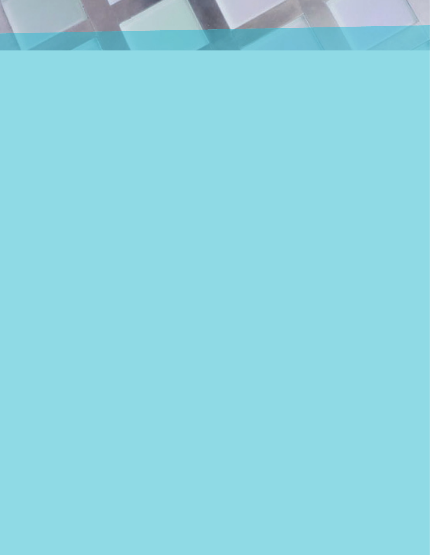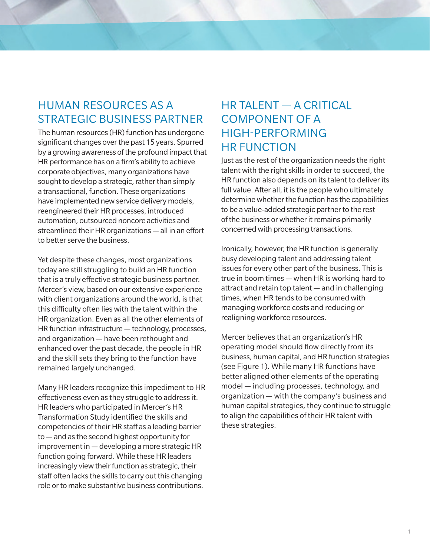## HUMAN RESOURCES AS A STRATEGIC BUSINESS PARTNER

The human resources (HR) function has undergone significant changes over the past 15 years. Spurred by a growing awareness of the profound impact that HR performance has on a firm's ability to achieve corporate objectives, many organizations have sought to develop a strategic, rather than simply a transactional, function. These organizations have implemented new service delivery models, reengineered their HR processes, introduced automation, outsourced noncore activities and streamlined their HR organizations - all in an effort to better serve the business.

Yet despite these changes, most organizations today are still struggling to build an HR function that is a truly effective strategic business partner. Mercer's view, based on our extensive experience with client organizations around the world, is that this difficulty often lies with the talent within the HR organization. Even as all the other elements of HR function infrastructure — technology, processes, and organization — have been rethought and enhanced over the past decade, the people in HR and the skill sets they bring to the function have remained largely unchanged.

Many HR leaders recognize this impediment to HR effectiveness even as they struggle to address it. HR leaders who participated in Mercer's HR Transformation Study identified the skills and competencies of their HR staff as a leading barrier to — and as the second highest opportunity for improvement in — developing a more strategic HR function going forward. While these HR leaders increasingly view their function as strategic, their staff often lacks the skills to carry out this changing role or to make substantive business contributions.

## HR TALENT - A CRITICAL COMPONENT OF A HIGH-PERFORMING HR FUNCTION

Just as the rest of the organization needs the right talent with the right skills in order to succeed, the HR function also depends on its talent to deliver its full value. After all, it is the people who ultimately determine whether the function has the capabilities to be a value-added strategic partner to the rest of the business or whether it remains primarily concerned with processing transactions.

Ironically, however, the HR function is generally busy developing talent and addressing talent issues for every other part of the business. This is true in boom times — when HR is working hard to attract and retain top talent — and in challenging times, when HR tends to be consumed with managing workforce costs and reducing or realigning workforce resources.

Mercer believes that an organization's HR operating model should flow directly from its business, human capital, and HR function strategies (see Figure 1). While many HR functions have better aligned other elements of the operating model — including processes, technology, and organization — with the company's business and human capital strategies, they continue to struggle to align the capabilities of their HR talent with these strategies.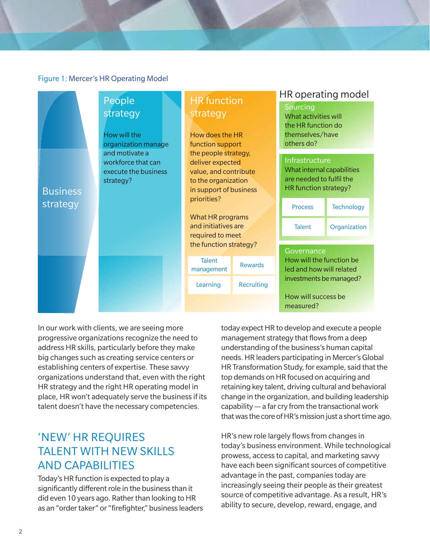#### Figure 1: Mercer's HR Operating Model



How will success be measured?

Learning Recruiting

In our work with clients, we are seeing more progressive organizations recognize the need to address HR skills, particularly before they make big changes such as creating service centers or establishing centers of expertise. These savvy organizations understand that, even with the right HR strategy and the right HR operating model in place, HR won't adequately serve the business if its talent doesn't have the necessary competencies.

## 'NEW' HR REQUIRES TALENT WITH NEW SKILLS AND CAPABILITIES

Today's HR function is expected to play a significantly different role in the business than it did even 10 years ago. Rather than looking to HR as an "order taker" or "firefighter," business leaders today expect HR to develop and execute a people management strategy that flows from a deep understanding of the business's human capital needs. HR leaders participating in Mercer's Global HR Transformation Study, for example, said that the top demands on HR focused on acquiring and retaining key talent, driving cultural and behavioral change in the organization, and building leadership capability — a far cry from the transactional work that was the core of HR's mission just a short time ago.

HR's new role largely flows from changes in today's business environment. While technological prowess, access to capital, and marketing savvy have each been significant sources of competitive advantage in the past, companies today are increasingly seeing their people as their greatest source of competitive advantage. As a result, HR's ability to secure, develop, reward, engage, and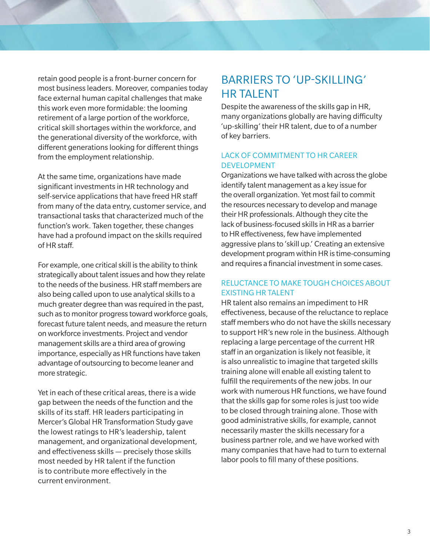retain good people is a front-burner concern for most business leaders. Moreover, companies today face external human capital challenges that make this work even more formidable: the looming retirement of a large portion of the workforce, critical skill shortages within the workforce, and the generational diversity of the workforce, with different generations looking for different things from the employment relationship.

At the same time, organizations have made significant investments in HR technology and self-service applications that have freed HR staff from many of the data entry, customer service, and transactional tasks that characterized much of the function's work. Taken together, these changes have had a profound impact on the skills required of HR staff.

For example, one critical skill is the ability to think strategically about talent issues and how they relate to the needs of the business. HR staff members are also being called upon to use analytical skills to a much greater degree than was required in the past, such as to monitor progress toward workforce goals, forecast future talent needs, and measure the return on workforce investments. Project and vendor management skills are a third area of growing importance, especially as HR functions have taken advantage of outsourcing to become leaner and more strategic.

Yet in each of these critical areas, there is a wide gap between the needs of the function and the skills of its staff. HR leaders participating in Mercer's Global HR Transformation Study gave the lowest ratings to HR's leadership, talent management, and organizational development, and effectiveness skills  $-$  precisely those skills most needed by HR talent if the function is to contribute more effectively in the current environment.

## BARRIERS TO 'UP-SKILLING' HR TALENT

Despite the awareness of the skills gap in HR, many organizations globally are having difficulty 'up-skilling' their HR talent, due to of a number of key barriers.

#### LACK OF COMMITMENT TO HR CAREER DEVELOPMENT

Organizations we have talked with across the globe identify talent management as a key issue for the overall organization. Yet most fail to commit the resources necessary to develop and manage their HR professionals. Although they cite the lack of business-focused skills in HR as a barrier to HR effectiveness, few have implemented aggressive plans to 'skill up.' Creating an extensive development program within HR is time-consuming and requires a financial investment in some cases.

#### RELUCTANCE TO MAKE TOUGH CHOICES ABOUT EXISTING HR TALENT

HR talent also remains an impediment to HR effectiveness, because of the reluctance to replace staff members who do not have the skills necessary to support HR's new role in the business. Although replacing a large percentage of the current HR staff in an organization is likely not feasible, it is also unrealistic to imagine that targeted skills training alone will enable all existing talent to fulfill the requirements of the new jobs. In our work with numerous HR functions, we have found that the skills gap for some roles is just too wide to be closed through training alone. Those with good administrative skills, for example, cannot necessarily master the skills necessary for a business partner role, and we have worked with many companies that have had to turn to external labor pools to fill many of these positions.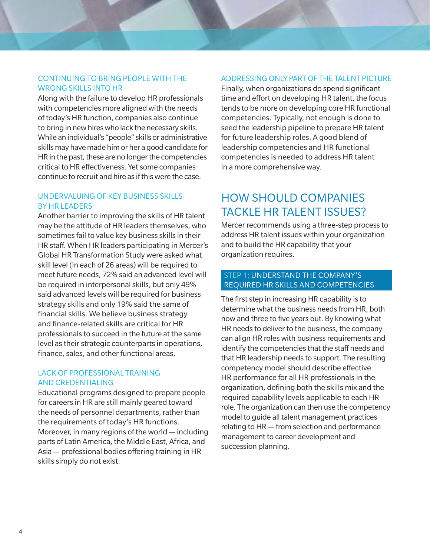#### CONTINUING TO BRING PEOPLE WITH THE WRONG SKILLS INTO HR

Along with the failure to develop HR professionals with competencies more aligned with the needs of today's HR function, companies also continue to bring in new hires who lack the necessary skills. While an individual's "people" skills or administrative skills may have made him or her a good candidate for HR in the past, these are no longer the competencies critical to HR effectiveness. Yet some companies continue to recruit and hire as if this were the case.

#### UNDERVALUING OF KEY BUSINESS SKILLS BY HR LEADERS

Another barrier to improving the skills of HR talent may be the attitude of HR leaders themselves, who sometimes fail to value key business skills in their HR staff. When HR leaders participating in Mercer's Global HR Transformation Study were asked what skill level (in each of 26 areas) will be required to meet future needs, 72% said an advanced level will be required in interpersonal skills, but only 49% said advanced levels will be required for business strategy skills and only 19% said the same of financial skills. We believe business strategy and finance-related skills are critical for HR professionals to succeed in the future at the same level as their strategic counterparts in operations, finance, sales, and other functional areas.

#### LACK OF PROFESSIONAL TRAINING AND CREDENTIALING

Educational programs designed to prepare people for careers in HR are still mainly geared toward the needs of personnel departments, rather than the requirements of today's HR functions. Moreover, in many regions of the world — including parts of Latin America, the Middle East, Africa, and Asia – professional bodies offering training in HR skills simply do not exist.

#### ADDRESSING ONLY PART OF THE TALENT PICTURE

Finally, when organizations do spend significant time and effort on developing HR talent, the focus tends to be more on developing core HR functional competencies. Typically, not enough is done to seed the leadership pipeline to prepare HR talent for future leadership roles. A good blend of leadership competencies and HR functional competencies is needed to address HR talent in a more comprehensive way.

## HOW SHOULD COMPANIES TACKLE HR TALENT ISSUES?

Mercer recommends using a three-step process to address HR talent issues within your organization and to build the HR capability that your organization requires.

#### STEP 1: UNDERSTAND THE COMPANY'S REQUIRED HR SKILLS AND COMPETENCIES

The first step in increasing HR capability is to determine what the business needs from HR, both now and three to five years out. By knowing what HR needs to deliver to the business, the company can align HR roles with business requirements and identify the competencies that the staff needs and that HR leadership needs to support. The resulting competency model should describe effective HR performance for all HR professionals in the organization, defining both the skills mix and the required capability levels applicable to each HR role. The organization can then use the competency model to guide all talent management practices relating to HR — from selection and performance management to career development and succession planning.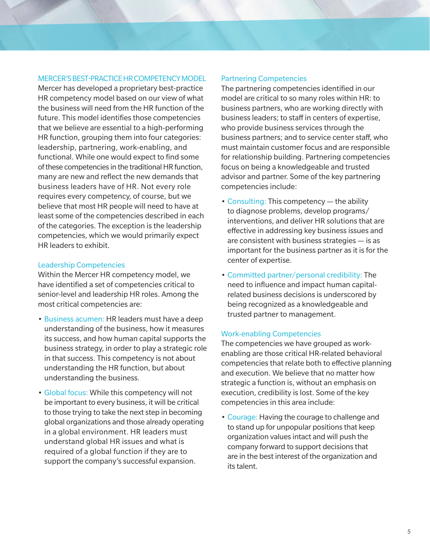#### MERCER'S BEST-PRACTICE HR COMPETENCY MODEL

Mercer has developed a proprietary best-practice HR competency model based on our view of what the business will need from the HR function of the future. This model identifies those competencies that we believe are essential to a high-performing HR function, grouping them into four categories: leadership, partnering, work-enabling, and functional. While one would expect to find some of these competencies in the traditional HR function, many are new and reflect the new demands that business leaders have of HR. Not every role requires every competency, of course, but we believe that most HR people will need to have at least some of the competencies described in each of the categories. The exception is the leadership competencies, which we would primarily expect HR leaders to exhibit.

#### Leadership Competencies

Within the Mercer HR competency model, we have identified a set of competencies critical to senior-level and leadership HR roles. Among the most critical competencies are:

- Business acumen: HR leaders must have a deep understanding of the business, how it measures its success, and how human capital supports the business strategy, in order to play a strategic role in that success. This competency is not about understanding the HR function, but about understanding the business.
- Global focus: While this competency will not be important to every business, it will be critical to those trying to take the next step in becoming global organizations and those already operating in a global environment. HR leaders must understand global HR issues and what is required of a global function if they are to support the company's successful expansion.

#### Partnering Competencies

The partnering competencies identified in our model are critical to so many roles within HR: to business partners, who are working directly with business leaders; to staff in centers of expertise, who provide business services through the business partners; and to service center staff, who must maintain customer focus and are responsible for relationship building. Partnering competencies focus on being a knowledgeable and trusted advisor and partner. Some of the key partnering competencies include:

- Consulting: This competency the ability to diagnose problems, develop programs/ interventions, and deliver HR solutions that are effective in addressing key business issues and are consistent with business strategies — is as important for the business partner as it is for the center of expertise.
- Committed partner/personal credibility: The need to influence and impact human capitalrelated business decisions is underscored by being recognized as a knowledgeable and trusted partner to management.

#### Work-enabling Competencies

The competencies we have grouped as workenabling are those critical HR-related behavioral competencies that relate both to effective planning and execution. We believe that no matter how strategic a function is, without an emphasis on execution, credibility is lost. Some of the key competencies in this area include:

• Courage: Having the courage to challenge and to stand up for unpopular positions that keep organization values intact and will push the company forward to support decisions that are in the best interest of the organization and its talent.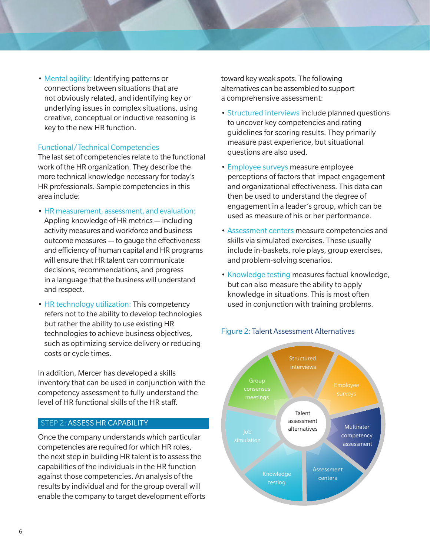• Mental agility: Identifying patterns or connections between situations that are not obviously related, and identifying key or underlying issues in complex situations, using creative, conceptual or inductive reasoning is key to the new HR function.

#### Functional/Technical Competencies

The last set of competencies relate to the functional work of the HR organization. They describe the more technical knowledge necessary for today's HR professionals. Sample competencies in this area include:

- HR measurement, assessment, and evaluation: Appling knowledge of HR metrics — including activity measures and workforce and business outcome measures — to gauge the effectiveness and efficiency of human capital and HR programs will ensure that HR talent can communicate decisions, recommendations, and progress in a language that the business will understand and respect.
- HR technology utilization: This competency refers not to the ability to develop technologies but rather the ability to use existing HR technologies to achieve business objectives, such as optimizing service delivery or reducing costs or cycle times.

In addition, Mercer has developed a skills inventory that can be used in conjunction with the competency assessment to fully understand the level of HR functional skills of the HR staff.

#### STEP 2: ASSESS HR CAPABILITY

Once the company understands which particular competencies are required for which HR roles, the next step in building HR talent is to assess the capabilities of the individuals in the HR function against those competencies. An analysis of the results by individual and for the group overall will enable the company to target development efforts toward key weak spots. The following alternatives can be assembled to support a comprehensive assessment:

- Structured interviews include planned questions to uncover key competencies and rating guidelines for scoring results. They primarily measure past experience, but situational questions are also used.
- Employee surveys measure employee perceptions of factors that impact engagement and organizational effectiveness. This data can then be used to understand the degree of engagement in a leader's group, which can be used as measure of his or her performance.
- Assessment centers measure competencies and skills via simulated exercises. These usually include in-baskets, role plays, group exercises, and problem-solving scenarios.
- Knowledge testing measures factual knowledge, but can also measure the ability to apply knowledge in situations. This is most often used in conjunction with training problems.



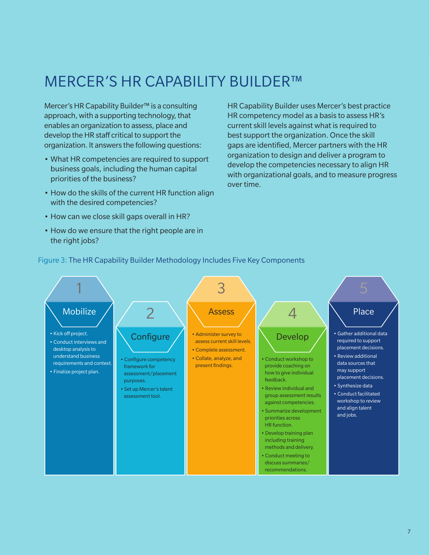## MERCER'S HR CAPABILITY BUILDER™

Mercer's HR Capability Builder™ is a consulting approach, with a supporting technology, that enables an organization to assess, place and develop the HR staff critical to support the organization. It answers the following questions:

- What HR competencies are required to support business goals, including the human capital priorities of the business?
- How do the skills of the current HR function align with the desired competencies?
- How can we close skill gaps overall in HR?
- How do we ensure that the right people are in the right jobs?

HR Capability Builder uses Mercer's best practice HR competency model as a basis to assess HR's current skill levels against what is required to best support the organization. Once the skill gaps are identified, Mercer partners with the HR organization to design and deliver a program to develop the competencies necessary to align HR with organizational goals, and to measure progress over time.



#### Figure 3: The HR Capability Builder Methodology Includes Five Key Components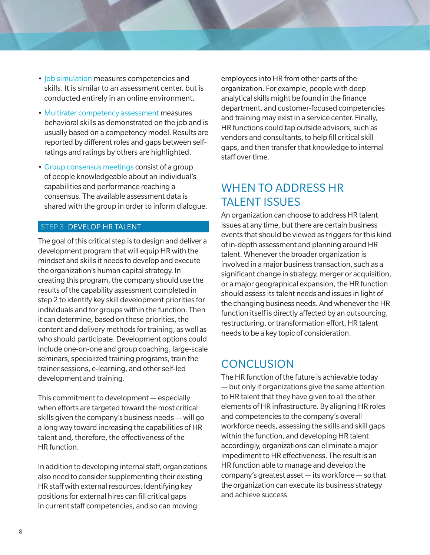- Job simulation measures competencies and skills. It is similar to an assessment center, but is conducted entirely in an online environment.
- Multirater competency assessment measures behavioral skills as demonstrated on the job and is usually based on a competency model. Results are reported by different roles and gaps between selfratings and ratings by others are highlighted.
- Group consensus meetings consist of a group of people knowledgeable about an individual's capabilities and performance reaching a consensus. The available assessment data is shared with the group in order to inform dialogue.

#### STEP 3: DEVELOP HR TALENT

The goal of this critical step is to design and deliver a development program that will equip HR with the mindset and skills it needs to develop and execute the organization's human capital strategy. In creating this program, the company should use the results of the capability assessment completed in step 2 to identify key skill development priorities for individuals and for groups within the function. Then it can determine, based on these priorities, the content and delivery methods for training, as well as who should participate. Development options could include one-on-one and group coaching, large-scale seminars, specialized training programs, train the trainer sessions, e-learning, and other self-led development and training.

This commitment to development — especially when efforts are targeted toward the most critical skills given the company's business needs — will go a long way toward increasing the capabilities of HR talent and, therefore, the effectiveness of the HR function.

In addition to developing internal staff, organizations also need to consider supplementing their existing HR staff with external resources. Identifying key positions for external hires can fill critical gaps in current staff competencies, and so can moving

employees into HR from other parts of the organization. For example, people with deep analytical skills might be found in the finance department, and customer-focused competencies and training may exist in a service center. Finally, HR functions could tap outside advisors, such as vendors and consultants, to help fill critical skill gaps, and then transfer that knowledge to internal staff over time.

## WHEN TO ADDRESS HR TALENT ISSUES

An organization can choose to address HR talent issues at any time, but there are certain business events that should be viewed as triggers for this kind of in-depth assessment and planning around HR talent. Whenever the broader organization is involved in a major business transaction, such as a significant change in strategy, merger or acquisition, or a major geographical expansion, the HR function should assess its talent needs and issues in light of the changing business needs. And whenever the HR function itself is directly affected by an outsourcing, restructuring, or transformation effort, HR talent needs to be a key topic of consideration.

### **CONCLUSION**

The HR function of the future is achievable today — but only if organizations give the same attention to HR talent that they have given to all the other elements of HR infrastructure. By aligning HR roles and competencies to the company's overall workforce needs, assessing the skills and skill gaps within the function, and developing HR talent accordingly, organizations can eliminate a major impediment to HR effectiveness. The result is an HR function able to manage and develop the company's greatest asset — its workforce — so that the organization can execute its business strategy and achieve success.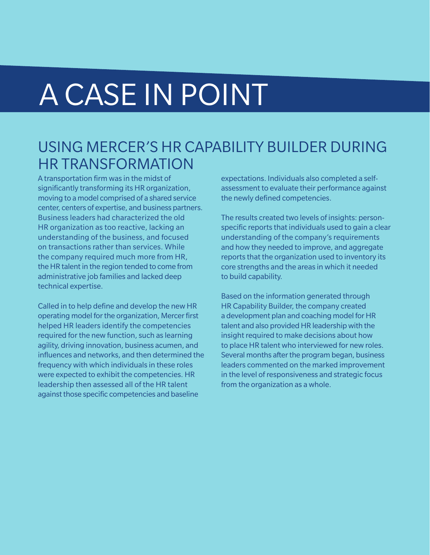# A CASE IN POINT

## USING MERCER'S HR CAPABILITY BUILDER DURING HR TRANSFORMATION

A transportation firm was in the midst of significantly transforming its HR organization, moving to a model comprised of a shared service center, centers of expertise, and business partners. Business leaders had characterized the old HR organization as too reactive, lacking an understanding of the business, and focused on transactions rather than services. While the company required much more from HR, the HR talent in the region tended to come from administrative job families and lacked deep technical expertise.

Called in to help define and develop the new HR operating model for the organization, Mercer first helped HR leaders identify the competencies required for the new function, such as learning agility, driving innovation, business acumen, and influences and networks, and then determined the frequency with which individuals in these roles were expected to exhibit the competencies. HR leadership then assessed all of the HR talent against those specific competencies and baseline

expectations. Individuals also completed a selfassessment to evaluate their performance against the newly defined competencies.

The results created two levels of insights: personspecific reports that individuals used to gain a clear understanding of the company's requirements and how they needed to improve, and aggregate reports that the organization used to inventory its core strengths and the areas in which it needed to build capability.

Based on the information generated through HR Capability Builder, the company created a development plan and coaching model for HR talent and also provided HR leadership with the insight required to make decisions about how to place HR talent who interviewed for new roles. Several months after the program began, business leaders commented on the marked improvement in the level of responsiveness and strategic focus from the organization as a whole.